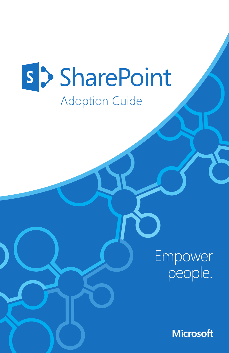# s > SharePoint

### Adoption Guide

Empower people.

**Microsoft**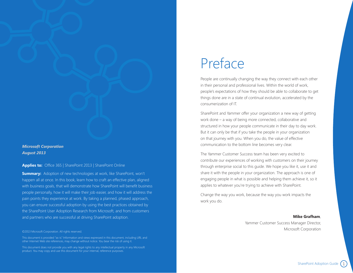#### *Microsoft Corporation August 2013*

**Applies to:** Office 365 | SharePoint 2013 | SharePoint Online

**Summary:** Adoption of new technologies at work, like SharePoint, won't happen all at once. In this book, learn how to craft an effective plan, aligned with business goals, that will demonstrate how SharePoint will benefit business people personally, how it will make their job easier, and how it will address the pain points they experience at work. By taking a planned, phased approach, you can ensure successful adoption by using the best practices obtained by the SharePoint User Adoption Research from Microsoft, and from customers and partners who are successful at driving SharePoint adoption.

#### ©2013 Microsoft Corporation. All rights reserved.

This document is provided "as-is." Information and views expressed in this document, including URL and other Internet Web site references, may change without notice. You bear the risk of using it.

This document does not provide you with any legal rights to any intellectual property in any Microsoft product. You may copy and use this document for your internal, reference purposes.

# Preface

People are continually changing the way they connect with each other in their personal and professional lives. Within the world of work, people's expectations of how they should be able to collaborate to get things done are in a state of continual evolution, accelerated by the consumerization of IT.

SharePoint and Yammer offer your organization a new way of getting work done – a way of being more connected, collaborative and structured in how your people communicate in their day to day work. But it can only be that if you take the people in your organization on that journey with you. When you do, the value of effective communication to the bottom line becomes very clear.

The Yammer Customer Success team has been very excited to contribute our experiences of working with customers on their journey through enterprise social to this guide. We hope you like it, use it and share it with the people in your organization. The approach is one of engaging people in what is possible and helping them achieve it, so it applies to whatever you're trying to achieve with SharePoint.

Change the way you work, because the way you work impacts the work you do.

**Mike Grafham**,

Yammer Customer Success Manager Director, Microsoft Corporation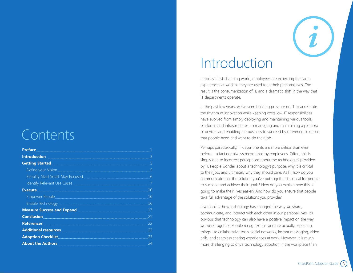# Contents

| Preface <b>Executive Contract of the Contract of Texas and Security Contract of the Contract of Texas and Security</b>                                                                                                               |     |
|--------------------------------------------------------------------------------------------------------------------------------------------------------------------------------------------------------------------------------------|-----|
| <u>Introduction and the second second second second second second second second second second second second second</u>                                                                                                               |     |
| <b>Getting Started Contract of the Contract of the Contract of the Contract of the Contract of the Contract of the Contract of the Contract of the Contract of the Contract of the Contract of the Contract of the Contract of t</b> |     |
|                                                                                                                                                                                                                                      |     |
| Simplify. Start Small. Stay Focused.                                                                                                                                                                                                 | 6   |
|                                                                                                                                                                                                                                      |     |
| Execute <b>Execute Execute Execute Execute Execute Execute Execute EXECUTE</b>                                                                                                                                                       | 10  |
|                                                                                                                                                                                                                                      | 10  |
| Enable Technology                                                                                                                                                                                                                    | 16  |
| Measure Success and Expand <b>Expand Measure Success</b> and Expand                                                                                                                                                                  |     |
| <b>Conclusion</b>                                                                                                                                                                                                                    | 21  |
| <b>References</b>                                                                                                                                                                                                                    | 22  |
| Additional resources <b>Additional Resources</b>                                                                                                                                                                                     | -22 |
| <b>Adoption Checklist</b>                                                                                                                                                                                                            | 23  |
| About the Authors <b>Access 2018</b>                                                                                                                                                                                                 | -24 |



# Introduction

In today's fast-changing world, employees are expecting the same experiences at work as they are used to in their personal lives. The result is the consumerization of IT, and a dramatic shift in the way that IT departments operate.

In the past few years, we've seen building pressure on IT to accelerate the rhythm of innovation while keeping costs low. IT responsibilities have evolved from simply deploying and maintaining various tools, platforms and infrastructures, to managing and maintaining a plethora of devices and enabling the business to succeed by delivering solutions that people need and want to do their job.

Perhaps paradoxically, IT departments are more critical than ever before—a fact not always recognized by employees. Often, this is simply due to incorrect perceptions about the technologies provided by IT. People wonder about a technology's purpose, why it is critical to their job, and ultimately why they should care. As IT, how do you communicate that the solution you've put together is critical for people to succeed and achieve their goals? How do you explain how this is going to make their lives easier? And how do you ensure that people take full advantage of the solutions you provide?

If we look at how technology has changed the way we share, communicate, and interact with each other in our personal lives, it's obvious that technology can also have a positive impact on the way we work together. People recognize this and are actually expecting things like collaborative tools, social networks, instant messaging, video calls, and seamless sharing experiences at work. However, it is much more challenging to drive technology adoption in the workplace than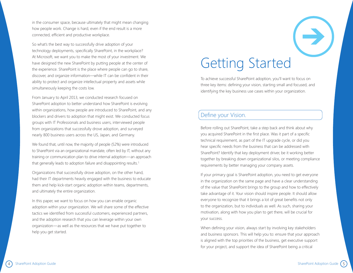in the consumer space, because ultimately that might mean changing how people work. Change is hard, even if the end result is a more connected, efficient and productive workplace.

So what's the best way to successfully drive adoption of your technology deployments, specifically SharePoint, in the workplace? At Microsoft, we want you to make the most of your investment. We have designed the new SharePoint by putting people at the center of the experience. SharePoint is the place where people can go to share, discover, and organize information—while IT can be confident in their ability to protect and organize intellectual property and assets while simultaneously keeping the costs low.

From January to April 2013, we conducted research focused on SharePoint adoption to better understand how SharePoint is evolving within organizations, how people are introduced to SharePoint, and any blockers and drivers to adoption that might exist. We conducted focus groups with IT Professionals and business users, interviewed people from organizations that successfully drove adoption, and surveyed nearly 800 business users across the US, Japan, and Germany.

We found that, until now, the majority of people (52%) were introduced to SharePoint via an organizational mandate, often led by IT, without any training or communication plan to drive internal adoption—an approach that generally leads to adoption failure and disappointing results.<sup>1</sup>

Organizations that successfully drove adoption, on the other hand, had their IT departments heavily engaged with the business to educate them and help kick-start organic adoption within teams, departments, and ultimately the entire organization.

In this paper, we want to focus on how you can enable organic adoption within your organization. We will share some of the effective tactics we identified from successful customers, experienced partners, and the adoption research that you can leverage within your own organization—as well as the resources that we have put together to help you get started.

# Getting Started

To achieve successful SharePoint adoption, you'll want to focus on three key items: defining your vision, starting small and focused, and identifying the key business use cases within your organization.

### Define your Vision.

Before rolling out SharePoint, take a step back and think about why you acquired SharePoint in the first place. Was it part of a specific technical requirement, as part of the IT upgrade cycle, or did you hear specific needs from the business that can be addressed with SharePoint? Identify that key deployment driver, be it working better together by breaking down organizational silos, or meeting compliance requirements by better managing your company assets.

If your primary goal is SharePoint adoption, you need to get everyone in the organization on the same page and have a clear understanding of the value that SharePoint brings to the group and how to effectively take advantage of it. Your vision should inspire people. It should allow everyone to recognize that it brings a lot of great benefits not only to the organization, but to individuals as well. As such, sharing your motivation, along with how you plan to get there, will be crucial for your success.

When defining your vision, always start by involving key stakeholders and business sponsors. This will help you to: ensure that your approach is aligned with the top priorities of the business, get executive support for your project, and support the idea of SharePoint being a critical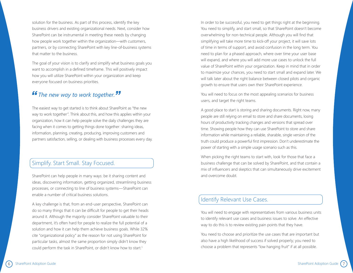solution for the business. As part of this process, identify the key business drivers and existing organizational needs. Next, consider how SharePoint can be instrumental in meeting these needs by changing how people work together within the organization—with customers, partners, or by connecting SharePoint with key line-of-business systems that matter to the business.

The goal of your vision is to clarify and simplify what business goals you want to accomplish in a defined timeframe. This will positively impact how you will utilize SharePoint within your organization and keep everyone focused on business priorities.

### *The new way to work together.*

The easiest way to get started is to think about SharePoint as "the new way to work together". Think about this, and how this applies within your organization, how it can help people solve the daily challenges they are facing when it comes to getting things done together: sharing ideas, information, planning, creating, producing, improving customers and partners satisfaction, selling, or dealing with business processes every day.

### Simplify. Start Small. Stay Focused.

SharePoint can help people in many ways: be it sharing content and ideas, discovering information, getting organized, streamlining business processes, or connecting to line of business systems—SharePoint can enable a number of critical business solutions.

A key challenge is that, from an end-user perspective, SharePoint can do so many things that it can be difficult for people to get their heads around it. Although the majority consider SharePoint valuable to their department, it's often hard for people to realize the full potential of a solution and how it can help them achieve business goals. While 32% cite "organizational policy" as the reason for not using SharePoint for particular tasks, almost the same proportion simply didn't know they could perform the task in SharePoint, or didn't know how to start. 1

In order to be successful, you need to get things right at the beginning. You need to simplify, and start small, so that SharePoint doesn't become overwhelming for non-technical people. Although you will find that simplifying will take more time to kick-off your project, it will save lots of time in terms of support, and avoid confusion in the long term. You need to plan for a phased approach, where over time your user base will expand, and where you will add more use cases to unlock the full value of SharePoint within your organization. Keep in mind that in order to maximize your chances, you need to start small and expand later. We will talk later about the right balance between closed pilots and organic growth to ensure that users own their SharePoint experience.

You will need to focus on the most appealing scenarios for business users, and target the right teams.

A good place to start is storing and sharing documents. Right now, many people are still relying on email to store and share documents, losing hours of productivity tracking changes and versions that spread over time. Showing people how they can use SharePoint to store and share information while maintaining a reliable, sharable, single version of the truth could produce a powerful first impression. Don't underestimate the power of starting with a simple usage scenario such as this.

When picking the right teams to start with, look for those that face a business challenge that can be solved by SharePoint, and that contain a mix of influencers and skeptics that can simultaneously drive excitement and overcome doubt.

### Identify Relevant Use Cases.

You will need to engage with representatives from various business units to identify relevant use cases and business issues to solve. An effective way to do this is to review existing pain points that they have.

You need to choose and prioritize the use cases that are important but also have a high likelihood of success if solved properly; you need to choose a problem that represents "low hanging fruit" if at all possible.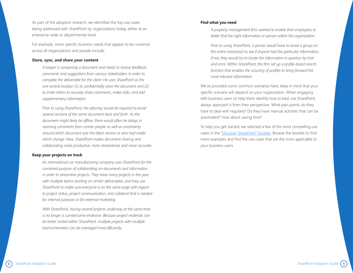As part of the adoption research, we identified the top use cases being addressed with SharePoint by organizations today, either at an enterprise-wide or departmental-level.

For example, some specific business needs that appear to be universal across all organizations and people include:

#### **Store, sync, and share your content**

*A lawyer is composing a document and needs to receive feedback, comments and suggestions from various stakeholders in order to complete the deliverable for the client. He uses SharePoint as the one central location (1) to confidentially store the document and (2) to invite others to securely share comments, make edits, and add supplementary information.*

*Prior to using SharePoint, the attorney would be required to email several versions of the same document back and forth. As the document might likely be offline, there would often be delays in receiving comments from certain people as well as uncertainty around which document was the latest version or who had made which change. Now, SharePoint makes document sharing and collaborating more productive, more streamlined, and more accurate.* 

#### **Keep your projects on track**

*An international car manufacturing company uses SharePoint for the combined purpose of collaborating on documents and information in order to streamline projects. They have many projects in the year, with multiple teams working on similar deliverables, and they use SharePoint to make sure everyone is on the same page with regard to project status, project communication, and collateral that is needed for internal purposes or for external marketing.* 

*With SharePoint, having several projects underway at the same time is no longer a cumbersome endeavor. Because project materials can be better sorted within SharePoint, multiple projects with multiple teams/members can be managed more efficiently.* 

#### **Find what you need**

*A property management firm wanted to enable their employees to better find the right information or person within the organization.*

*Prior to using SharePoint, a person would have to email a group (or the entire company!) to see if anyone had the particular information; if not, they would try to locate the information in question by trial and error. Within SharePoint, the firm set up a profile-based search function that enables the scouring of profiles to bring forward the most relevant information.* 

We've provided some common scenarios here; keep in mind that your specific scenario will depend on your organization. When engaging with business users to help them identify how to best use SharePoint, always approach it from their perspective. What pain points do they have to deal with regularly? Do they have manual activities that can be automated? How about saving time?

To help you get started, we selected a few of the most compelling use cases in the ["Discover SharePoint" booklet](http://aka.ms/spuc). Browse the booklet to find more examples and find the use cases that are the most applicable to your business users.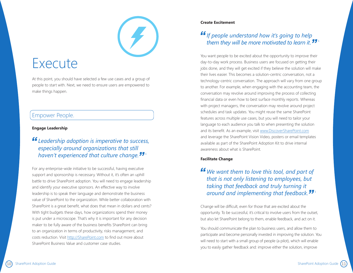# Execute

At this point, you should have selected a few use cases and a group of people to start with. Next, we need to ensure users are empowered to make things happen.

### Empower People.

#### **Engage Leadership**

### *Leadership adoption is imperative to success, especially around organizations that still haven't experienced that culture change.* <sup>1</sup>

For any enterprise-wide initiative to be successful, having executive support and sponsorship is necessary. Without it, it's often an uphill battle to drive SharePoint adoption. You will need to engage leadership and identify your executive sponsors. An effective way to involve leadership is to speak their language and demonstrate the business value of SharePoint to the organization. While better collaboration with SharePoint is a great benefit, what does that mean in dollars and cents? With tight budgets these days, how organizations spend their money is put under a microscope. That's why it is important for any decision maker to be fully aware of the business benefits SharePoint can bring to an organization in terms of productivity, risks management, and costs reduction. Visit http://[SharePoint.com](http://SharePoint.com) to find out more about SharePoint Business Value and customer case studies.

#### **Create Excitement**

### *If people understand how it's going to help them they will be more motivated to learn it.*  $11^{\frac{1}{2}}$

You want people to be excited about the opportunity to improve their day-to-day work process. Business users are focused on getting their jobs done, and they will get excited if they believe the solution will make their lives easier. This becomes a solution-centric conversation, not a technology-centric conversation. The approach will vary from one group to another. For example, when engaging with the accounting team, the conversation may revolve around improving the process of collecting financial data or even how to best surface monthly reports. Whereas with project managers, the conversation may revolve around project schedules and task updates. You might reuse the same SharePoint features across multiple use cases, but you will need to tailor your language to each audience you talk to when presenting the solution and its benefit. As an example, visi[t www.DiscoverSharePoint.com](www.DiscoverSharePoint.com) and leverage the SharePoint Vision Video, posters or email templates available as part of th[e SharePoint Adoption Kit](http://go.microsoft.com/fwlink/p/?LinkId=301524) to drive internal awareness about what is SharePoint.

#### **Facilitate Change**

### *We want them to love this tool, and part of that is not only listening to employees, but taking that feedback and truly turning it around and implementing that feedback.* <sup>1</sup>

Change will be difficult, even for those that are excited about the opportunity. To be successful, it's critical to involve users from the outset, but also let SharePoint belong to them, enable feedback, and act on it.

You should communicate the plan to business users, and allow them to participate and become personally invested in improving the solution. You will need to start with a small group of people (a pilot), which will enable you to easily gather feedback and: improve either the solution, improve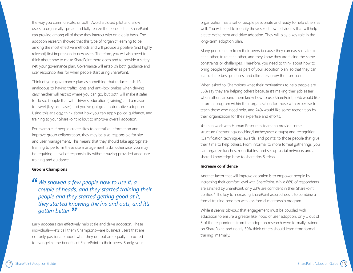the way you communicate, or both. Avoid a closed pilot and allow users to organically spread and fully realize the benefits that SharePoint can provide among all of those they interact with on a daily basis. The adoption research showed that this type of "organic" learning to be among the most effective methods and will provide a positive (and highly relevant) first impression to new users. Therefore, you will also need to think about how to make SharePoint more open and to provide a safety net: your governance plan. Governance will establish both guidance and user responsibilities for when people start using SharePoint.

Think of your governance plan as something that reduces risk. It's analogous to having traffic lights and anti-lock brakes when driving cars; neither will restrict where you can go, but both will make it safer to do so. Couple that with driver's education (training) and a reason to travel (key use cases) and you've got great automotive adoption. Using this analogy, think about how you can apply policy, guidance, and training to your SharePoint rollout to improve overall adoption.

For example, if people create sites to centralize information and improve group collaboration, they may be also responsible for site and user management. This means that they should take appropriate training to perform these site management tasks; otherwise, you may be requiring a level of responsibility without having provided adequate training and guidance.

#### **Groom Champions**

*We showed a few people how to use it, a couple of heads, and they started training their people and they started getting good at it, they started knowing the ins and outs, and it's gotten better.*  1

Early adopters can effectively help scale and drive adoption. These individuals—let's call them Champions—are business users that are not only passionate about what they do, but are equally as excited to evangelize the benefits of SharePoint to their peers. Surely, your

organization has a set of people passionate and ready to help others as well. You will need to identify those select few individuals that will help create excitement and drive adoption. They will play a key role in the long-term adoption plan.

Many people learn from their peers because they can easily relate to each other, trust each other, and they know they are facing the same constraints or challenges. Therefore, you need to think about how to bring people together as part of your adoption plan, so that they can learn, share best practices, and ultimately grow the user base.

When asked to Champions what their motivations to help people are, 55% say they are helping others because it's making their job easier when others around them know how to use SharePoint, 29% would like a formal program within their organization for those with expertise to teach those who need help, and 24% would like some recognition by their organization for their expertise and efforts.<sup>1</sup>

You can work with Human Resources teams to provide some structure (mentoring/coaching/lunches/user groups) and recognition (Gamification techniques, awards, and points) to those people that give their time to help others. From informal to more formal gatherings, you can organize lunches, roundtables, and set up social networks and a shared knowledge base to share tips & tricks.

#### **Increase confidence**

Another factor that will improve adoption is to empower people by increasing their comfort level with SharePoint. While 86% of respondents are satisfied by SharePoint, only 23% are confident in their SharePoint abilities.<sup>1</sup> The key to increasing SharePoint assuredness is to combine a formal training program with less formal mentorship program.

While it seems obvious that engagement must be coupled with education to ensure a greater likelihood of user adoption, only 1 out of 5 of the respondents from the adoption research were formally trained on SharePoint, and nearly 50% think others should learn from formal training internally.<sup>1</sup>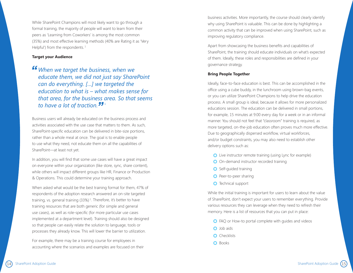While SharePoint Champions will most likely want to go through a formal training, the majority of people will want to learn from their peers as 'Learning from Coworkers' is among the most common (35%) and most effective learning methods (40% are Rating it as 'Very Helpful') from the respondents.<sup>1</sup>

#### **Target your Audience**

*When we target the business, when we educate them, we did not just say SharePoint can do everything. […] we targeted the education to what is – what makes sense for that area, for the business area. So that seems to have a lot of traction.*  1

Business users will already be educated on the business process and activities associated with the use case that matters to them. As such, SharePoint-specific education can be delivered in bite-size portions, rather than a whole meal at once. The goal is to enable people to use what they need, not educate them on all the capabilities of SharePoint—at least not yet.

In addition, you will find that some use cases will have a great impact on everyone within your organization (like store, sync, share content), while others will impact different groups like HR, Finance or Production & Operations. This could determine your training approach.

When asked what would be the best training format for them, 47% of respondents of the adoption research answered an on-site targeted training, vs. general training (33%)<sup>1</sup>. Therefore, it's better to have training resources that are both generic (for simple and general use cases), as well as role-specific (for more particular use cases implemented at a department level). Training should also be designed so that people can easily relate the solution to language, tools or processes they already know. This will lower the barrier to utilization.

For example, there may be a training course for employees in accounting where the scenarios and examples are focused on their business activities. More importantly, the course should clearly identify why using SharePoint is valuable. This can be done by highlighting a common activity that can be improved when using SharePoint, such as improving regulatory compliance.

Apart from showcasing the business benefits and capabilities of SharePoint, the training should educate individuals on what's expected of them. Ideally, these roles and responsibilities are defined in your governance strategy.

#### **Bring People Together**

Ideally, face-to-face education is best. This can be accomplished in the office using a cube buddy, in the lunchroom using brown-bag events, or you can utilize SharePoint Champions to help drive the education process. A small group is ideal, because it allows for more personalized educations session. The education can be delivered in small portions, for example, 15 minutes at 9:00 every day for a week or in an informal manner. You should not feel that "classroom" training is required, as more targeted, on-the-job education often proves much more effective. Due to geographically dispersed workflow, virtual workforces, and/or budget constraints, you may also need to establish other delivery options such as:

- **O** Live instructor remote training (using Lync for example)
- O On-demand instructor recorded training
- **O** Self-quided training
- **O** Peer-to-peer sharing
- **O** Technical support

While the initial training is important for users to learn about the value of SharePoint, don't expect your users to remember everything. Provide various resources they can leverage when they need to refresh their memory. Here is a list of resources that you can put in place:

- **O** FAQ or How-to portal complete with guides and videos
- **O** Job aids
- **O** Checklists
- **O** Books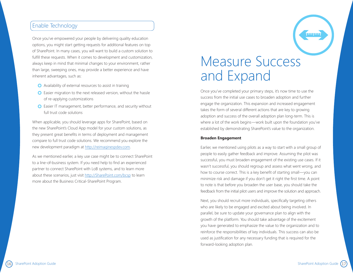### Enable Technology

Once you've empowered your people by delivering quality education options, you might start getting requests for additional features on top of SharePoint. In many cases, you will want to build a custom solution to fulfill these requests. When it comes to development and customization, always keep in mind that minimal changes to your environment, rather than large, sweeping ones, may provide a better experience and have inherent advantages, such as:

- Availability of external resources to assist in training
- Easier migration to the next released version, without the hassle of re-applying customizations
- **O** Easier IT management, better performance, and security without full trust code solutions

When applicable, you should leverage apps for SharePoint, based on the new SharePoint's Cloud App model for your custom solutions, as they present great benefits in terms of deployment and management compare to full trust code solutions. We recommend you explore the new development paradigm a[t http://reimaginespdev.com](http://reimaginespdev.com).

As we mentioned earlier, a key use case might be to connect SharePoint to a line-of-business system. If you need help to find an experienced partner to connect SharePoint with LoB systems, and to learn more about these scenarios, just visit http:/[/SharePoint.com/bcsp](http://SharePoint.com/bcsp) to learn more about the Business Critical-SharePoint Program.

# Measure Success and Expand

Once you've completed your primary steps, it's now time to use the success from the initial use cases to broaden adoption and further engage the organization. This expansion and increased engagement takes the form of several different actions that are key to growing adoption and success of the overall adoption plan long-term. This is where a lot of the work begins—work built upon the foundation you've established by demonstrating SharePoint's value to the organization.

#### **Broaden Engagement**

Earlier, we mentioned using pilots as a way to start with a small group of people to easily gather feedback and improve. Assuming the pilot was successful, you must broaden engagement of the existing use cases. If it wasn't successful, you should regroup and assess what went wrong, and how to course correct. This is a key benefit of starting small—you can minimize risk and damage if you don't get it right the first time. A point to note is that before you broaden the user base, you should take the feedback from the initial pilot users and improve the solution and approach.

Next, you should recruit more individuals, specifically targeting others who are likely to be engaged and excited about being involved. In parallel, be sure to update your governance plan to align with the growth of the platform. You should take advantage of the excitement you have generated to emphasize the value to the organization and to reinforce the responsibilities of key individuals. This success can also be used as justification for any necessary funding that is required for the forward-looking adoption plan.

100pm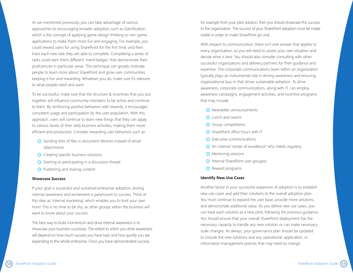As we mentioned previously, you can take advantage of various approaches to encouraging broader adoption, such as Gamification, which is the concept of applying game-design thinking to non-game applications to make them more fun and engaging. For example, you could reward users for using SharePoint for the first time, and then track each new task they are able to complete. Completing a series of tasks could earn them different 'merit-badges' that demonstrate their proficiencies in particular areas. This technique can greatly motivate people to learn more about SharePoint and grow user communities, keeping it fun and rewarding. Whatever you do, make sure it's relevant to what people need and want.

To be successful, make sure that the structure & incentives that you put together will influence community members to be active and continue to learn. By reinforcing positive behaviors with rewards, it encourages consistent usage and participation by the user population. With this approach, users will continue to learn new things that they can apply to various facets of their daily business activities, making them more efficient and productive. Consider rewarding user behaviors such as:

- **O** Sending links of files in document libraries instead of email attachments
- **O** Creating specific business solutions
- **O** Starting or participating in a discussion thread
- **O** Publishing and sharing content

#### **Showcase Success**

If your goal is successful and sustained enterprise adoption, driving internal awareness and excitement is paramount to success. Think of this step as 'internal marketing,' which enables you to toot your own horn! This is no time to be shy, as other groups within the business will want to know about your success.

The best way to build momentum and drive internal awareness is to showcase your business successes. The extent to which you drive awareness will depend on how much success you have had, and how quickly you are expanding to the whole enterprise. Once you have demonstrated success,

for example from your pilot solution, then you should showcase this success to the organization. The success of your SharePoint adoption must be made visible in order to make SharePoint go viral.

With respect to communication, there isn't one answer that applies to every organization, so you will need to assess your own situation and decide what is best. You should also consider consulting with other successful organizations and delivery partners for their guidance and expertise. The corporate communications team within an organization typically plays an instrumental role in driving awareness and ensuring organizational buy-in that drives sustainable adoption. To drive awareness, corporate communications, along with IT, can employ awareness campaigns, engagement activities, and incentive programs that may include:

- **O** Newsletter announcements
- **Q** Lunch and Learns
- **O** Group competitions
- **O** SharePoint office hours with IT
- **O** Executive communications
- An internal "center of excellence" who meets regularly
- **O** Mentoring sessions
- **O** Internal SharePoint user group(s)
- **O** Reward programs

#### **Identify New Use Cases**

Another factor in your successful expansion of adoption is to establish new use cases and add their solutions to the overall adoption plan. You must continue to expand the user base, provide more solutions, and demonstrate additional value. As you define new use cases, you can treat each solution as a new pilot, following the previous guidance. You should ensure that your overall SharePoint deployment has the necessary capacity to handle any new solution or can make necessary scale changes. As always, your governance plan should be updated to include the new solutions and any operational, application, or information management policies that may need to change.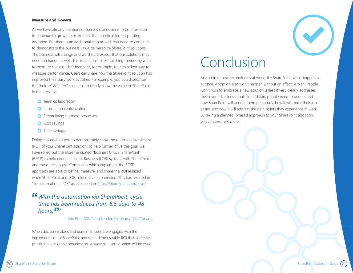#### **Measure and Govern**

As we have already mentioned, success stories need to be promoted to continue to grow the excitement that is critical for long-lasting adoption. But there is an additional step as well. You need to continue to demonstrate the business value delivered by SharePoint solutions. The business will change and we should expect that our solutions may need to change as well. This is all a part of establishing metrics by which to measure success. User feedback, for example, is an excellent way to measure performance. Users can share how the SharePoint solution has improved their daily work activities. For example, you could describe the "before" & "after" scenarios to clearly show the value of SharePoint in the areas of:

- **O** Team collaboration
- **O** Information centralization
- **O** Streamlining business processes
- **O** Cost savings
- **O** Time savings

Doing this enables you to demonstrably show the return on investment (ROI) of your SharePoint solution. To help further drive this goal, we have rolled out the aforementioned "Business Critical SharePoint" (BSCP) to help connect Line of Business (LOB) systems with SharePoint and measure success. Companies which implement the BCSP approach are able to define, measure, and share the ROI realized when SharePoint and LOB solutions are connected. This has resulted in "Transformational ROI" as explained o[n http://SharePoint.com/bcsp:](http://SharePoint.com/bcsp)

### *With the automation via SharePoint, cycle time has been reduced from 6.5 days to 48*   $h_{OUI}$   $\overline{J}_{1}$

#### -Kyle Butt, MIS Team Leader, [Yokohama Tire Canada](http://www.microsoft.com/casestudies/Microsoft-SharePoint-Server-2010/Yokohama-Tire-Canada-Inc/Distribution-Company-Achieves-Nearly-70-Percent-Reduction-in-Process-Cycle-Time/710000001853)

When decision makers and team members are engaged with the implementation of SharePoint and see a demonstrable ROI that addresses practical needs of the organization, sustainable user adoption will increase.



# Conclusion

Adoption of new technologies at work, like SharePoint, won't happen all at once. Adoption also won't happen without an effective plan. People won't rush to embrace a new solution unless it very clearly addresses their overall business goals. In addition, people need to understand how SharePoint will benefit them personally, how it will make their job easier, and how it will address the pain points they experience at work. By taking a planned, phased approach to your SharePoint adoption, you can ensure success.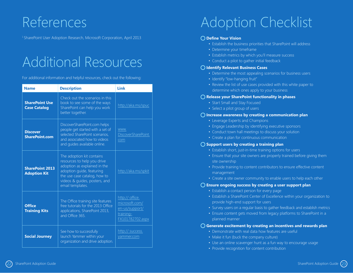# Additional Resources

| <sup>1</sup> SharePoint User Adoption Research, Microsoft Corporation, April 2013<br><b>Additional Resources</b><br>For additional information and helpful resources, check out the following:<br><b>Description</b><br><b>Link</b><br><b>Name</b> |                                                                                                                                                                                        |                                                                                                                                                                                                    | ◯ Define Your Vision<br>• Establish the business priorities that SharePoint will address<br>• Determine your timeframe<br>• Establish metrics by which you'll measure success<br>• Conduct a pilot to gather initial feedback<br>O Identify Relevant Business Cases<br>• Determine the most appealing scenarios for business users<br>• Identify "low-hanging fruit"<br>• Review the list of use cases provided with this white paper to<br>determine which ones apply to your business |  |
|----------------------------------------------------------------------------------------------------------------------------------------------------------------------------------------------------------------------------------------------------|----------------------------------------------------------------------------------------------------------------------------------------------------------------------------------------|----------------------------------------------------------------------------------------------------------------------------------------------------------------------------------------------------|-----------------------------------------------------------------------------------------------------------------------------------------------------------------------------------------------------------------------------------------------------------------------------------------------------------------------------------------------------------------------------------------------------------------------------------------------------------------------------------------|--|
|                                                                                                                                                                                                                                                    |                                                                                                                                                                                        |                                                                                                                                                                                                    |                                                                                                                                                                                                                                                                                                                                                                                                                                                                                         |  |
| <b>SharePoint Use</b><br><b>Case Catalog</b>                                                                                                                                                                                                       | Check out the scenarios in this<br>book to see some of the ways<br>SharePoint can help you work<br>better together.                                                                    | http://aka.ms/spuc                                                                                                                                                                                 | O Release your SharePoint functionality in phases                                                                                                                                                                                                                                                                                                                                                                                                                                       |  |
|                                                                                                                                                                                                                                                    |                                                                                                                                                                                        |                                                                                                                                                                                                    | • Start Small and Stay Focused                                                                                                                                                                                                                                                                                                                                                                                                                                                          |  |
|                                                                                                                                                                                                                                                    |                                                                                                                                                                                        |                                                                                                                                                                                                    | • Select a pilot group of users                                                                                                                                                                                                                                                                                                                                                                                                                                                         |  |
|                                                                                                                                                                                                                                                    |                                                                                                                                                                                        |                                                                                                                                                                                                    | $\bigcirc$ Increase awareness by creating a communication plan                                                                                                                                                                                                                                                                                                                                                                                                                          |  |
| DiscoverSharePoint.com helps<br>people get started with a set of<br><b>Discover</b><br>selected SharePoint scenarios,<br><b>SharePoint.com</b><br>and associated how to videos<br>and quides available online.                                     | WWW.<br>DiscoverSharePoint                                                                                                                                                             | • Leverage Experts and Champions<br>• Engage Leadership by identifying executive sponsors<br>• Conduct town hall meetings to discuss your solution<br>• Create a plan for continuous communication |                                                                                                                                                                                                                                                                                                                                                                                                                                                                                         |  |
|                                                                                                                                                                                                                                                    |                                                                                                                                                                                        | com                                                                                                                                                                                                | $\bigcirc$ Support users by creating a training plan                                                                                                                                                                                                                                                                                                                                                                                                                                    |  |
| <b>SharePoint 2013</b><br><b>Adoption Kit</b>                                                                                                                                                                                                      | The adoption kit contains<br>resources to help you drive<br>adoption as explained in the<br>adoption guide, featuring<br>the use case catalog, how to<br>videos & guides, posters, and | http://aka.ms/spkit                                                                                                                                                                                | • Establish short, just-in-time training options for users<br>• Ensure that your site owners are properly trained before giving them<br>site ownership<br>• Provide training to content contributors to ensure effective content<br>management<br>• Create a site owner community to enable users to help each other                                                                                                                                                                    |  |
|                                                                                                                                                                                                                                                    | email templates.                                                                                                                                                                       |                                                                                                                                                                                                    | $\bigcirc$ Ensure ongoing success by creating a user support plan                                                                                                                                                                                                                                                                                                                                                                                                                       |  |
| <b>Office</b><br><b>Training Kits</b>                                                                                                                                                                                                              | The Office training site features<br>free tutorials for the 2013 Office<br>applications, SharePoint 2013,<br>and Office 365.                                                           | http:// office.<br>microsoft.com/<br>en-us/support/<br>training-<br>FX101782702.aspx                                                                                                               | • Establish a contact person for every page<br>• Establish a SharePoint Center of Excellence within your organization to<br>provide high-end support for users<br>• Survey users on a regular basis to gather feedback and establish metrics<br>• Ensure content gets moved from legacy platforms to SharePoint in a<br>planned manner                                                                                                                                                  |  |
|                                                                                                                                                                                                                                                    |                                                                                                                                                                                        |                                                                                                                                                                                                    | ○ Generate excitement by creating an incentives and rewards plan                                                                                                                                                                                                                                                                                                                                                                                                                        |  |
| <b>Social Journey</b>                                                                                                                                                                                                                              | See how to successfully<br>launch Yammer within your<br>organization and drive adoption.                                                                                               | http:// success.<br>yammer.com                                                                                                                                                                     | • Demonstrate with real data how features are useful<br>• Make it fun (buck the company culture)<br>• Use an online scavenger hunt as a fun way to encourage usage<br>• Provide recognition for content contribution                                                                                                                                                                                                                                                                    |  |

# Adoption Checklist

#### **Define Your Vision**

- Establish the business priorities that SharePoint will address
- Determine your timeframe
- Establish metrics by which you'll measure success
- Conduct a pilot to gather initial feedback

#### **Identify Relevant Business Cases**

- Determine the most appealing scenarios for business users
- Identify "low-hanging fruit"
- Review the list of use cases provided with this white paper to determine which ones apply to your business

#### **Release your SharePoint functionality in phases**

- Start Small and Stay Focused
- Select a pilot group of users

#### **Increase awareness by creating a communication plan**

- Leverage Experts and Champions
- Engage Leadership by identifying executive sponsors
- Conduct town hall meetings to discuss your solution
- Create a plan for continuous communication

#### **Support users by creating a training plan**

- Establish short, just-in-time training options for users
- Ensure that your site owners are properly trained before giving them site ownership
- Provide training to content contributors to ensure effective content management
- Create a site owner community to enable users to help each other

#### **Ensure ongoing success by creating a user support plan**

- Establish a contact person for every page
- Establish a SharePoint Center of Excellence within your organization to provide high-end support for users
- Survey users on a regular basis to gather feedback and establish metrics
- Ensure content gets moved from legacy platforms to SharePoint in a planned manner

#### **Generate excitement by creating an incentives and rewards plan**

- Demonstrate with real data how features are useful
- Make it fun (buck the company culture)
- Use an online scavenger hunt as a fun way to encourage usage
- Provide recognition for content contribution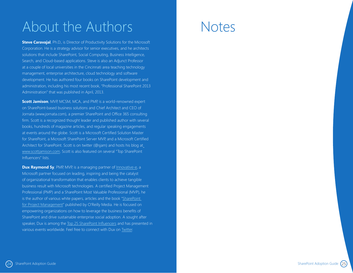# About the Authors

**Steve Caravajal**, Ph.D., is Director of Productivity Solutions for the Microsoft Corporation. He is a strategy advisor for senior executives, and he architects solutions that include SharePoint, Social Computing, Business Intelligence, Search, and Cloud-based applications. Steve is also an Adjunct Professor at a couple of local universities in the Cincinnati area teaching technology management, enterprise architecture, cloud technology and software development. He has authored four books on SharePoint development and administration, including his most recent book, "Professional SharePoint 2013 Administration" that was published in April, 2013.

**Scott Jamison**, MVP, MCSM, MCA, and PMP, is a world-renowned expert on SharePoint-based business solutions and Chief Architect and CEO of Jornata (www.jornata.com), a premier SharePoint and Office 365 consulting firm. Scott is a recognized thought leader and published author with several books, hundreds of magazine articles, and regular speaking engagements at events around the globe. Scott is a Microsoft Certified Solution Master for SharePoint, a Microsoft SharePoint Server MVP, and a Microsoft Certified Architect for SharePoint. Scott is on twitter (@sjam) and hosts his blog at <www.scottjamison.com>. Scott is also featured on several "Top SharePoint Influencers" lists.

**Dux Raymond Sy**, PMP, MVP, is a managing partner of [Innovative-e](https://iec-public.sharepoint.com/site/Pages/Home.html), a Microsoft partner focused on leading, inspiring and being the catalyst of organizational transformation that enables clients to achieve tangible business result with Microsoft technologies. A certified Project Management Professional (PMP) and a SharePoint Most Valuable Professional (MVP), he is the author of various white papers, articles and the book ["SharePoint](http://shop.oreilly.com/product/9780596520151.do)  [for Project Management](http://shop.oreilly.com/product/9780596520151.do)" published by O'Reilly Media. He is focused on empowering organizations on how to leverage the business benefits of SharePoint and drive sustainable enterprise social adoption. A sought after speaker, Dux is among the [Top 25 SharePoint Influencers](http://www.forbes.com/sites/markfidelman/2012/11/08/these-are-the-top-25-microsoft-sharepoint-influencers-for-2012/) and has presented in various events worldwide. Feel free to connect with Dux on [Twitter](https://twitter.com/meetdux).

# Notes